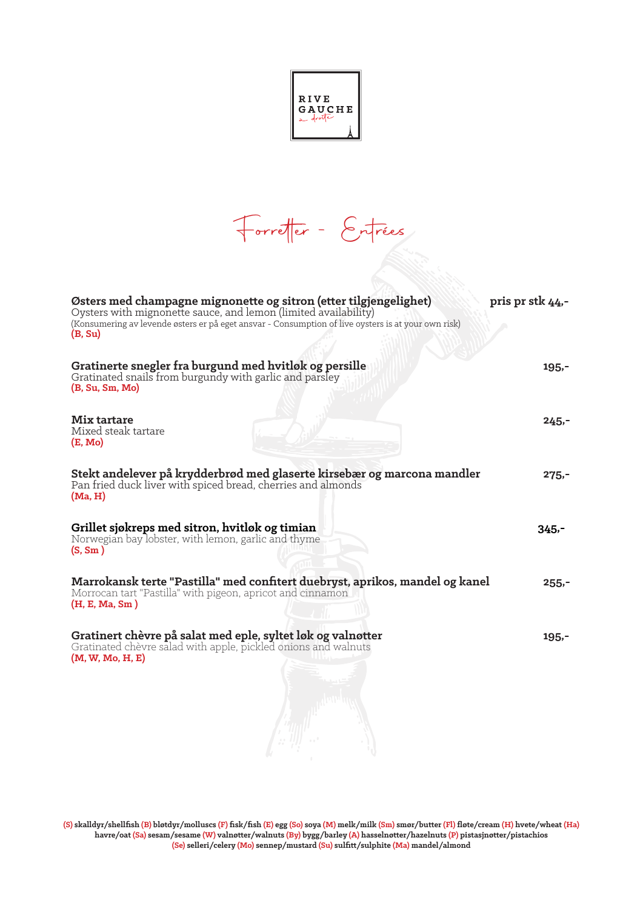|--|

Forretter - Entrées

| Østers med champagne mignonette og sitron (etter tilgjengelighet)<br>Oysters with mignonette sauce, and lemon (limited availability)<br>(Konsumering av levende østers er på eget ansvar - Consumption of live oysters is at your own risk)<br>(B, Su) | pris pr stk 44,- |
|--------------------------------------------------------------------------------------------------------------------------------------------------------------------------------------------------------------------------------------------------------|------------------|
| Gratinerte snegler fra burgund med hvitløk og persille<br>Gratinated snails from burgundy with garlic and parsley<br>(B, Su, Sm, Mo)                                                                                                                   | $195 -$          |
| <b>Mix tartare</b><br>Mixed steak tartare<br>(E, Mo)                                                                                                                                                                                                   | $245 -$          |
| Stekt andelever på krydderbrød med glaserte kirsebær og marcona mandler<br>Pan fried duck liver with spiced bread, cherries and almonds<br>(Ma, H)                                                                                                     | $275 -$          |
| Grillet sjøkreps med sitron, hvitløk og timian<br>Norwegian bay lobster, with lemon, garlic and thyme<br>(S, Sm)                                                                                                                                       | $345 -$          |
| Marrokansk terte "Pastilla" med confitert duebryst, aprikos, mandel og kanel<br>Morrocan tart "Pastilla" with pigeon, apricot and cinnamon<br>(H, E, Ma, Sm)                                                                                           | $255 -$          |
| Gratinert chèvre på salat med eple, syltet løk og valnøtter<br>Gratinated chèvre salad with apple, pickled onions and walnuts<br>(M, W, Mo, H, E)                                                                                                      | $195,-$          |
|                                                                                                                                                                                                                                                        |                  |

**(S) skalldyr/shellfish (B) bløtdyr/molluscs (F) fisk/fish (E) egg (So) soya (M) melk/milk (Sm) smør/butter (Fl) fløte/cream (H) hvete/wheat (Ha) havre/oat (Sa) sesam/sesame (W) valnøtter/walnuts (By) bygg/barley (A) hasselnøtter/hazelnuts (P) pistasjnøtter/pistachios (Se) selleri/celery (Mo) sennep/mustard (Su) sulfitt/sulphite (Ma) mandel/almond**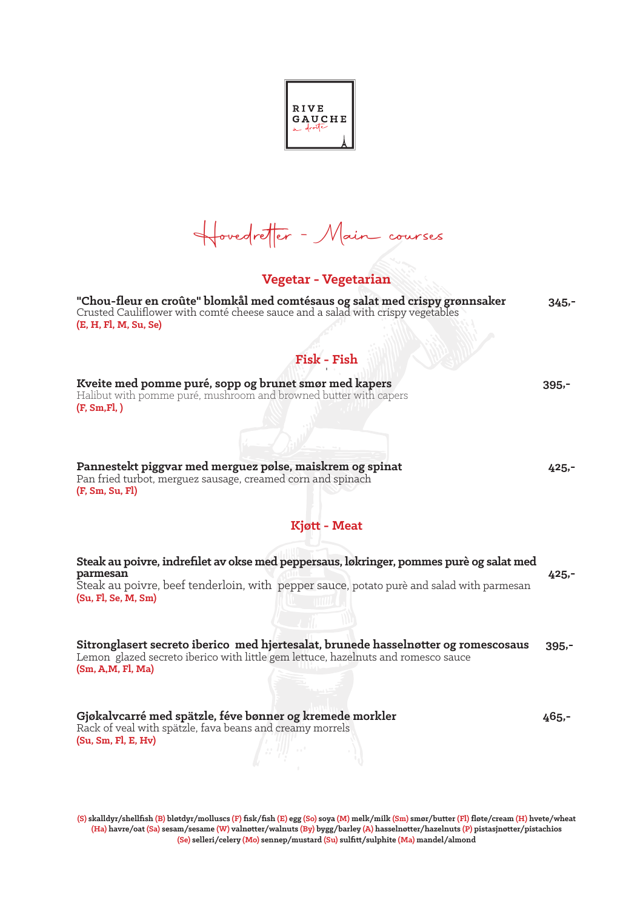**RIVE** GAUCHE

Hovedretter - Main courses

## **Vegetar - Vegetarian**

**"Chou-fleur en croûte" blomkål med comtésaus og salat med crispy grønnsaker 345,-** Crusted Cauliflower with comté cheese sauce and a salad with crispy vegetables **(E, H, Fl, M, Su, Se) Fisk - Fish** Kveite med pomme puré, sopp og brunet smør med kapers **1986** - 1995, 1995, 1995, 1995, 1995, 1995, 1995, 1995, 1995, 1995, 1995, 1995, 1995, 1995, 1995, 1995, 1995, 1995, 1996, 1997, 1997, 1997, 1997, 1997, 1997, 1997, 199 Halibut with pomme puré, mushroom and browned butter with capers **(F, Sm,Fl, ) Pannestekt piggvar med merguez pølse, maiskrem og spinat 425,-** Pan fried turbot, merguez sausage, creamed corn and spinach **(F, Sm, Su, Fl) Kjøtt - Meat Steak au poivre, indrefilet av okse med peppersaus, løkringer, pommes purè og salat med parmesan 425,-** Steak au poivre, beef tenderloin, with pepper sauce, potato purè and salad with parmesan **(Su, Fl, Se, M, Sm) Sitronglasert secreto iberico med hjertesalat, brunede hasselnøtter og romescosaus 395,-** Lemon glazed secreto iberico with little gem lettuce, hazelnuts and romesco sauce **(Sm, A,M, Fl, Ma) Gjøkalvcarré med spätzle, féve bønner og kremede morkler 465,-** Rack of veal with spätzle, fava beans and creamy morrels **(Su, Sm, Fl, E, Hv)**

**(S) skalldyr/shellfish (B) bløtdyr/molluscs (F) fisk/fish (E) egg (So) soya (M) melk/milk (Sm) smør/butter (Fl) fløte/cream (H) hvete/wheat (Ha) havre/oat (Sa) sesam/sesame (W) valnøtter/walnuts (By) bygg/barley (A) hasselnøtter/hazelnuts (P) pistasjnøtter/pistachios (Se) selleri/celery (Mo) sennep/mustard (Su) sulfitt/sulphite (Ma) mandel/almond**